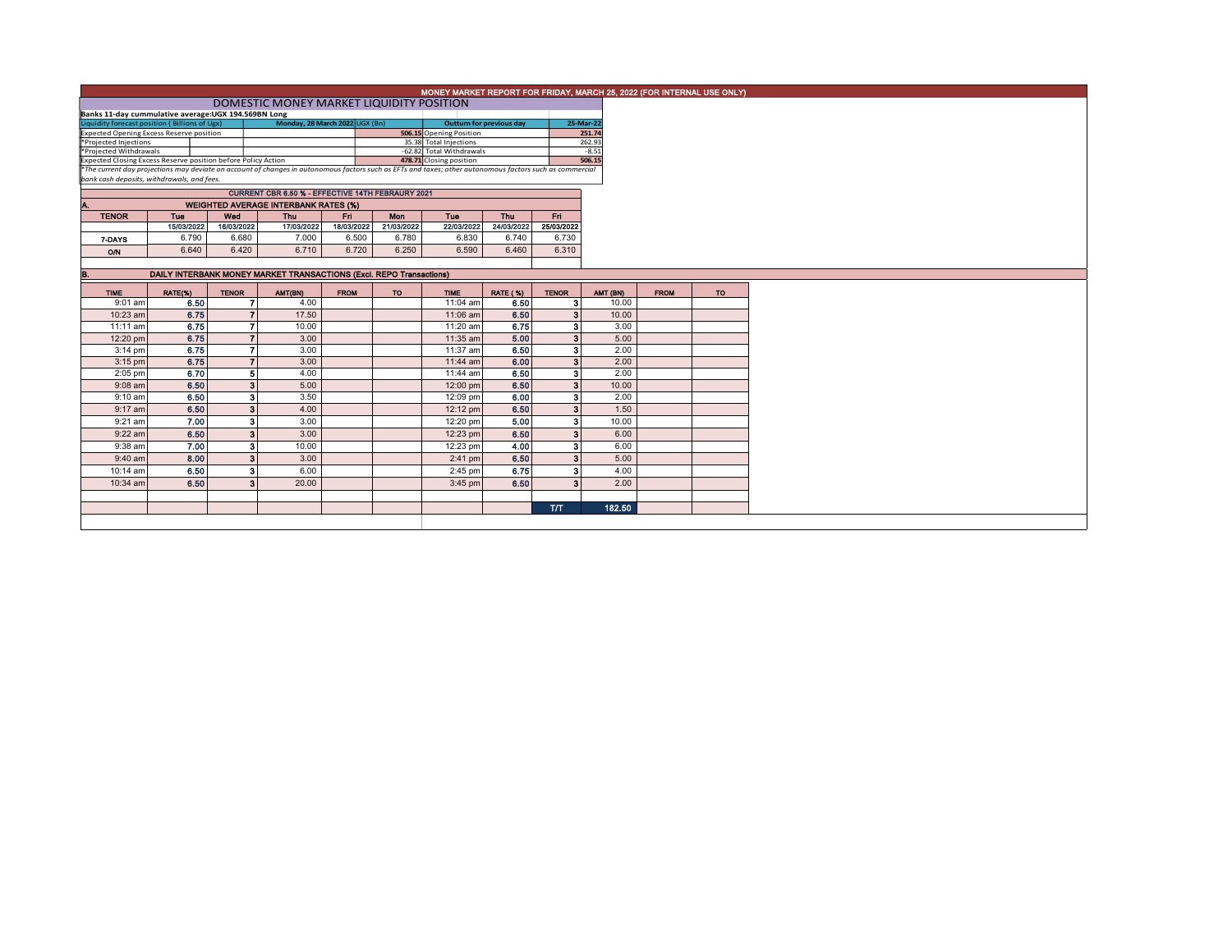|                                                                                                                                                                                                                                                                        | MONEY MARKET REPORT FOR FRIDAY, MARCH 25, 2022 (FOR INTERNAL USE ONLY) |              |                                                                     |             |                          |                                                   |                 |                         |                  |             |           |  |  |  |
|------------------------------------------------------------------------------------------------------------------------------------------------------------------------------------------------------------------------------------------------------------------------|------------------------------------------------------------------------|--------------|---------------------------------------------------------------------|-------------|--------------------------|---------------------------------------------------|-----------------|-------------------------|------------------|-------------|-----------|--|--|--|
|                                                                                                                                                                                                                                                                        | DOMESTIC MONEY MARKET LIQUIDITY POSITION                               |              |                                                                     |             |                          |                                                   |                 |                         |                  |             |           |  |  |  |
| Banks 11-day cummulative average: UGX 194.569BN Long                                                                                                                                                                                                                   |                                                                        |              |                                                                     |             |                          |                                                   |                 |                         |                  |             |           |  |  |  |
| Monday, 28 March 2022 UGX (Bn)<br>Liquidity forecast position (Billions of Ugx)<br>Expected Opening Excess Reserve position                                                                                                                                            |                                                                        |              |                                                                     |             |                          | <b>Outturn for previous day</b>                   |                 |                         | 25-Mar-22        |             |           |  |  |  |
| *Projected Injections                                                                                                                                                                                                                                                  |                                                                        |              |                                                                     |             |                          | 506.15 Opening Position<br>35.38 Total Injections |                 |                         | 251.74<br>262.93 |             |           |  |  |  |
| *Projected Withdrawals                                                                                                                                                                                                                                                 |                                                                        |              |                                                                     |             | -62.82 Total Withdrawals |                                                   |                 | $-8.51$                 |                  |             |           |  |  |  |
|                                                                                                                                                                                                                                                                        |                                                                        |              |                                                                     |             |                          |                                                   |                 | 506.15                  |                  |             |           |  |  |  |
| Expected Closing Excess Reserve position before Policy Action<br>The current day projections may deviate on account of changes in autonomous factors such as EFTs and taxes; other autonomous factors such as commercial<br>bank cash deposits, withdrawals, and fees, |                                                                        |              |                                                                     |             |                          |                                                   |                 |                         |                  |             |           |  |  |  |
|                                                                                                                                                                                                                                                                        |                                                                        |              |                                                                     |             |                          |                                                   |                 |                         |                  |             |           |  |  |  |
|                                                                                                                                                                                                                                                                        |                                                                        |              | CURRENT CBR 6.50 % - EFFECTIVE 14TH FEBRAURY 2021                   |             |                          |                                                   |                 |                         |                  |             |           |  |  |  |
| Α.<br><b>TENOR</b>                                                                                                                                                                                                                                                     | Tue                                                                    | Wed          | <b>WEIGHTED AVERAGE INTERBANK RATES (%)</b><br>Thu                  | Fri.        | Mon                      | Tue                                               | Thu             | Fri.                    |                  |             |           |  |  |  |
|                                                                                                                                                                                                                                                                        | 15/03/2022                                                             | 16/03/2022   | 17/03/2022                                                          | 18/03/2022  | 21/03/2022               | 22/03/2022                                        | 24/03/2022      | 25/03/2022              |                  |             |           |  |  |  |
|                                                                                                                                                                                                                                                                        | 6.790                                                                  | 6.680        | 7.000                                                               | 6.500       | 6.780                    | 6.830                                             | 6.740           | 6.730                   |                  |             |           |  |  |  |
| 7-DAYS                                                                                                                                                                                                                                                                 |                                                                        |              |                                                                     |             |                          |                                                   |                 |                         |                  |             |           |  |  |  |
| O/N                                                                                                                                                                                                                                                                    | 6.640                                                                  | 6.420        | 6.710                                                               | 6.720       | 6.250                    | 6.590                                             | 6.460           | 6.310                   |                  |             |           |  |  |  |
|                                                                                                                                                                                                                                                                        |                                                                        |              |                                                                     |             |                          |                                                   |                 |                         |                  |             |           |  |  |  |
| <b>B.</b>                                                                                                                                                                                                                                                              |                                                                        |              | DAILY INTERBANK MONEY MARKET TRANSACTIONS (Excl. REPO Transactions) |             |                          |                                                   |                 |                         |                  |             |           |  |  |  |
| <b>TIME</b>                                                                                                                                                                                                                                                            | RATE(%)                                                                | <b>TENOR</b> | AMT(BN)                                                             | <b>FROM</b> | <b>TO</b>                | <b>TIME</b>                                       | <b>RATE (%)</b> | <b>TENOR</b>            | AMT (BN)         | <b>FROM</b> | <b>TO</b> |  |  |  |
| $9:01$ am                                                                                                                                                                                                                                                              | 6.50                                                                   |              | 7<br>4.00                                                           |             |                          | 11:04 am                                          | 6.50            | з                       | 10.00            |             |           |  |  |  |
| 10:23 am                                                                                                                                                                                                                                                               | 6.75                                                                   |              | 17.50<br>$\overline{7}$                                             |             |                          | 11:06 am                                          | 6.50            | 3 <sup>1</sup>          | 10.00            |             |           |  |  |  |
| $11:11$ am                                                                                                                                                                                                                                                             | 6.75                                                                   |              | $\overline{ }$<br>10.00                                             |             |                          | 11:20 am                                          | 6.75            | 3 <sup>1</sup>          | 3.00             |             |           |  |  |  |
| 12:20 pm                                                                                                                                                                                                                                                               | 6.75                                                                   |              | $\overline{7}$<br>3.00                                              |             |                          | 11:35 am                                          | 5.00            | 3 <sup>1</sup>          | 5.00             |             |           |  |  |  |
| $3:14$ pm                                                                                                                                                                                                                                                              | 6.75                                                                   |              | $\overline{ }$<br>3.00                                              |             |                          | 11:37 am                                          | 6.50            | 3 <sup>1</sup>          | 2.00             |             |           |  |  |  |
| $3:15$ pm                                                                                                                                                                                                                                                              | 6.75                                                                   |              | $\overline{7}$<br>3.00                                              |             |                          | $11:44$ am                                        | 6.00            | $\mathbf{3}$            | 2.00             |             |           |  |  |  |
| $2:05$ pm                                                                                                                                                                                                                                                              | 6.70                                                                   |              | 4.00<br>5                                                           |             |                          | 11:44 am                                          | 6.50            | 3                       | 2.00             |             |           |  |  |  |
| $9:08$ am                                                                                                                                                                                                                                                              | 6.50                                                                   |              | $\overline{\mathbf{3}}$<br>5.00                                     |             |                          | 12:00 pm                                          | 6.50            | 3 <sup>1</sup>          | 10.00            |             |           |  |  |  |
| $9:10$ am                                                                                                                                                                                                                                                              | 6.50                                                                   |              | 3<br>3.50                                                           |             |                          | 12:09 pm                                          | 6.00            | 3                       | 2.00             |             |           |  |  |  |
| $9:17$ am                                                                                                                                                                                                                                                              | 6.50                                                                   |              | 4.00<br>$\overline{\mathbf{3}}$                                     |             |                          | 12:12 pm                                          | 6.50            | $\overline{\mathbf{3}}$ | 1.50             |             |           |  |  |  |
| $9:21$ am                                                                                                                                                                                                                                                              | 7.00                                                                   |              | 3.00<br>3                                                           |             |                          | 12:20 pm                                          | 5.00            | 3                       | 10.00            |             |           |  |  |  |
| $9:22$ am                                                                                                                                                                                                                                                              | 6.50                                                                   |              | 3 <sup>1</sup><br>3.00                                              |             |                          | 12:23 pm                                          | 6.50            | 3 <sup>1</sup>          | 6.00             |             |           |  |  |  |
| 9:38 am                                                                                                                                                                                                                                                                | 7.00                                                                   |              | $\overline{\mathbf{3}}$<br>10.00                                    |             |                          | 12:23 pm                                          | 4.00            | 3 <sup>1</sup>          | 6.00             |             |           |  |  |  |
| $9:40$ am                                                                                                                                                                                                                                                              | 8.00                                                                   |              | $\overline{\mathbf{3}}$<br>3.00                                     |             |                          | $2:41$ pm                                         | 6.50            | 3 <sup>1</sup>          | 5.00             |             |           |  |  |  |
| 10:14 am                                                                                                                                                                                                                                                               | 6.50                                                                   |              | 3<br>6.00                                                           |             |                          | $2:45$ pm                                         | 6.75            | 3                       | 4.00             |             |           |  |  |  |
| 10:34 am                                                                                                                                                                                                                                                               | 6.50                                                                   |              | 3 <sup>1</sup><br>20.00                                             |             |                          | $3:45$ pm                                         | 6.50            | 3 <sup>1</sup>          | 2.00             |             |           |  |  |  |
|                                                                                                                                                                                                                                                                        |                                                                        |              |                                                                     |             |                          |                                                   |                 |                         |                  |             |           |  |  |  |
|                                                                                                                                                                                                                                                                        |                                                                        |              |                                                                     |             |                          |                                                   |                 | <b>T/T</b>              | 182.50           |             |           |  |  |  |
|                                                                                                                                                                                                                                                                        |                                                                        |              |                                                                     |             |                          |                                                   |                 |                         |                  |             |           |  |  |  |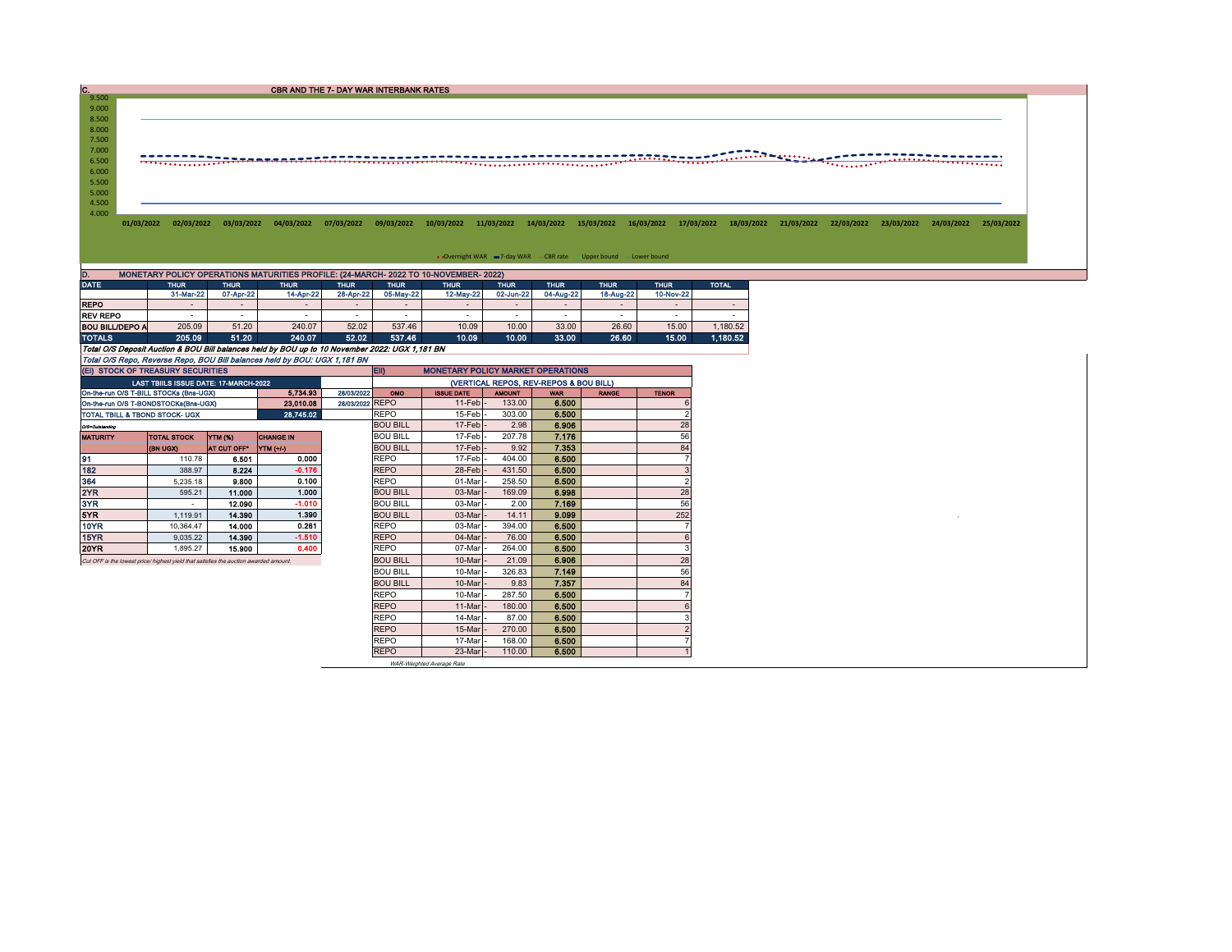CBR AND THE 7- DAY WAR INTERBANK RATES

|  |  | 01/03/2022 02/03/2022 03/03/2022 04/03/2022 07/03/2022 09/03/2022 10/03/2022 11/03/2022 14/03/2022 15/03/2022 16/03/2022 17/03/2022 18/03/2022 22/03/2022 22/03/2022 23/03/2022 24/03/2022 23/03/2022 23/03/2022 23/03/2022 23/ |  |  |  |  |  |  |
|--|--|---------------------------------------------------------------------------------------------------------------------------------------------------------------------------------------------------------------------------------|--|--|--|--|--|--|
|  |  |                                                                                                                                                                                                                                 |  |  |  |  |  |  |

DATE THUR THUR THUR THUR THUR THUR THUR THUR THUR THUR TOTAL 31-Mar-22 07-Apr-22 14-Apr-22 28-Apr-22 05-May-22 12-May-22 02-Jun-22 04-Aug-22 18-Aug-22 10-Nov-22 REPO - - - - - - - - - - - NEV REPO <br>
TOTALS 205.09 51.20 240.07 52.02 537.46 10.09 10.00 33.00 26.50 15.00 1,180.52<br>
TOTALS 205.09 51.20 240.07 52.02 537.46 10.09 10.00 33.00 26.60 15.00 1,180.52<br>
Total O/S Repo, Reverse Repo BOU Bill balances held D. MONETARY POLICY OPERATIONS MATURITIES PROFILE: (24-MARCH- 2022 TO 10-NOVEMBER- 2022)

|                                                          | (EI) STOCK OF TREASURY SECURITIES                                                     |                          |                       |                 | <b>ED</b><br><b>MONETARY POLICY MARKET OPERATIONS</b> |                                        |              |       |  |                |  |  |  |  |
|----------------------------------------------------------|---------------------------------------------------------------------------------------|--------------------------|-----------------------|-----------------|-------------------------------------------------------|----------------------------------------|--------------|-------|--|----------------|--|--|--|--|
| <b>LAST TBIILS ISSUE DATE: 17-MARCH-2022</b><br>5.734.93 |                                                                                       |                          |                       |                 |                                                       | (VERTICAL REPOS, REV-REPOS & BOU BILL) |              |       |  |                |  |  |  |  |
|                                                          | On-the-run O/S T-BILL STOCKs (Bns-UGX)                                                | 28/03/2022<br><b>OMO</b> | <b>ISSUE DATE</b>     | <b>AMOUNT</b>   | <b>WAR</b>                                            | <b>RANGE</b>                           | <b>TENOR</b> |       |  |                |  |  |  |  |
|                                                          | On-the-run O/S T-BONDSTOCKs(Bns-UGX)                                                  |                          | 23.010.08             | 28/03/2022 REPO |                                                       | 11-Feb                                 | 133.00       | 6.500 |  |                |  |  |  |  |
| TOTAL TBILL & TBOND STOCK- UGX                           |                                                                                       |                          | 28.745.02             |                 | <b>REPO</b>                                           | 15-Feb                                 | 303.00       | 6.500 |  |                |  |  |  |  |
| O/S=Outstanding                                          |                                                                                       |                          |                       |                 | <b>BOU BILL</b>                                       | 17-Feb                                 | 2.98         | 6.906 |  | 28             |  |  |  |  |
| <b>MATURITY</b>                                          | <b>TOTAL STOCK</b>                                                                    | <b>YTM (%)</b>           | <b>CHANGE IN</b>      |                 | <b>BOU BILL</b>                                       | 17-Feb                                 | 207.78       | 7.176 |  | 56             |  |  |  |  |
|                                                          | (BN UGX)                                                                              | AT CUT OFF*              | $\Upsilon$ TM $(+/-)$ |                 | <b>BOU BILL</b>                                       | 17-Feb                                 | 9.92         | 7.353 |  | 84             |  |  |  |  |
| 91                                                       | 110.78                                                                                | 6.501                    | 0.000                 |                 | <b>REPO</b>                                           | 17-Feb                                 | 404.00       | 6.500 |  |                |  |  |  |  |
| 182                                                      | 388.97                                                                                | 8.224                    | $-0.176$              |                 | <b>REPO</b>                                           | 28-Feb                                 | 431.50       | 6.500 |  |                |  |  |  |  |
| 364                                                      | 5.235.18                                                                              | 9,800                    | 0.100                 |                 | <b>REPO</b>                                           | 01-Mar                                 | 258.50       | 6.500 |  | $\overline{2}$ |  |  |  |  |
| 2YR                                                      | 595.21                                                                                | 11.000                   | 1.000                 |                 | <b>BOU BILL</b>                                       | 03-Mar                                 | 169.09       | 6.998 |  | 28             |  |  |  |  |
| 3YR                                                      | $\overline{\phantom{a}}$                                                              | 12.090                   | $-1.010$              |                 | <b>BOU BILL</b>                                       | 03-Mar                                 | 2.00         | 7.169 |  | 56             |  |  |  |  |
| 5YR                                                      | 1.119.91                                                                              | 14,390                   | 1.390                 |                 | <b>BOU BILL</b>                                       | 03-Mar                                 | 14.11        | 9.099 |  | 252            |  |  |  |  |
| 10YR                                                     | 10.364.47                                                                             | 14.000                   | 0.261                 |                 | <b>REPO</b>                                           | 03-Mar                                 | 394.00       | 6.500 |  |                |  |  |  |  |
| 15YR                                                     | 9.035.22                                                                              | 14,390                   | $-1.510$              |                 | <b>REPO</b>                                           | 04-Mar                                 | 76.00        | 6.500 |  |                |  |  |  |  |
| 20YR                                                     | 1.895.27                                                                              | 15,900                   | 0.400                 |                 | <b>REPO</b>                                           | 07-Mar                                 | 264.00       | 6.500 |  | 3              |  |  |  |  |
|                                                          | Cut OFF is the lowest price/ highest yield that satisfies the auction awarded amount. |                          |                       |                 | <b>BOU BILL</b>                                       | 10-Mar                                 | 21.09        | 6.906 |  | 28             |  |  |  |  |
|                                                          |                                                                                       |                          |                       |                 | <b>BOU BILL</b>                                       | 10-Mar                                 | 326.83       | 7.149 |  | 56             |  |  |  |  |
|                                                          |                                                                                       |                          |                       |                 | <b>BOU BILL</b>                                       | 10-Mar                                 | 9.83         | 7.357 |  | 84             |  |  |  |  |
|                                                          |                                                                                       |                          |                       |                 | <b>REPO</b>                                           | 10-Mar                                 | 287.50       | 6.500 |  |                |  |  |  |  |
|                                                          |                                                                                       |                          |                       |                 | <b>REPO</b>                                           | 11-Mar                                 | 180.00       | 6.500 |  |                |  |  |  |  |
|                                                          |                                                                                       |                          |                       |                 | <b>REPO</b>                                           | 14-Mar                                 | 87.00        | 6.500 |  |                |  |  |  |  |
|                                                          |                                                                                       |                          |                       |                 | <b>REPO</b>                                           | 15-Mar                                 | 270.00       | 6.500 |  |                |  |  |  |  |
|                                                          |                                                                                       |                          |                       |                 | <b>REPO</b>                                           | 17-Mar                                 | 168.00       | 6.500 |  |                |  |  |  |  |
|                                                          |                                                                                       |                          |                       |                 | <b>REPO</b>                                           | 23-Mar                                 | 110.00       | 6.500 |  |                |  |  |  |  |

WAR-Weighted Average Rate